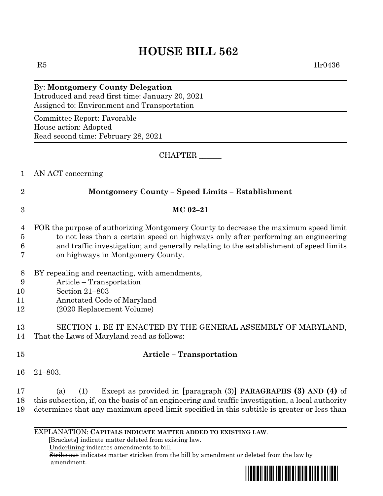## **HOUSE BILL 562**

 $R5$  1lr0436

### By: **Montgomery County Delegation** Introduced and read first time: January 20, 2021 Assigned to: Environment and Transportation

Committee Report: Favorable House action: Adopted Read second time: February 28, 2021

CHAPTER \_\_\_\_\_\_

- 1 AN ACT concerning
- 

## 2 **Montgomery County – Speed Limits – Establishment**

# 3 **MC 02–21**

- 4 FOR the purpose of authorizing Montgomery County to decrease the maximum speed limit 5 to not less than a certain speed on highways only after performing an engineering 6 and traffic investigation; and generally relating to the establishment of speed limits
- 7 on highways in Montgomery County.
- 8 BY repealing and reenacting, with amendments,
- 9 Article Transportation
- 10 Section 21–803
- 11 Annotated Code of Maryland
- 12 (2020 Replacement Volume)

13 SECTION 1. BE IT ENACTED BY THE GENERAL ASSEMBLY OF MARYLAND, 14 That the Laws of Maryland read as follows:

- 15 **Article – Transportation**
- 16 21–803.
- 17 (a) (1) Except as provided in **[**paragraph (3)**] PARAGRAPHS (3) AND (4)** of 18 this subsection, if, on the basis of an engineering and traffic investigation, a local authority 19 determines that any maximum speed limit specified in this subtitle is greater or less than
	- EXPLANATION: **CAPITALS INDICATE MATTER ADDED TO EXISTING LAW**.

 **[**Brackets**]** indicate matter deleted from existing law.

Underlining indicates amendments to bill.

 Strike out indicates matter stricken from the bill by amendment or deleted from the law by amendment.

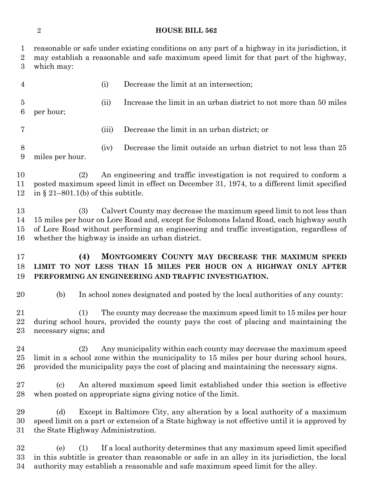#### **HOUSE BILL 562**

| 1<br>$\overline{2}$<br>3 | reasonable or safe under existing conditions on any part of a highway in its jurisdiction, it<br>may establish a reasonable and safe maximum speed limit for that part of the highway,<br>which may:                                                                                                                  |       |                                                                               |
|--------------------------|-----------------------------------------------------------------------------------------------------------------------------------------------------------------------------------------------------------------------------------------------------------------------------------------------------------------------|-------|-------------------------------------------------------------------------------|
| $\overline{4}$           |                                                                                                                                                                                                                                                                                                                       | (i)   | Decrease the limit at an intersection;                                        |
| $\overline{5}$<br>6      | per hour;                                                                                                                                                                                                                                                                                                             | (ii)  | Increase the limit in an urban district to not more than 50 miles             |
| 7                        |                                                                                                                                                                                                                                                                                                                       | (iii) | Decrease the limit in an urban district; or                                   |
| 8<br>9                   | miles per hour.                                                                                                                                                                                                                                                                                                       | (iv)  | Decrease the limit outside an urban district to not less than 25              |
| 10<br>11<br>12           | An engineering and traffic investigation is not required to conform a<br>(2)<br>posted maximum speed limit in effect on December 31, 1974, to a different limit specified<br>in $\S$ 21–801.1(b) of this subtitle.                                                                                                    |       |                                                                               |
| 13<br>14<br>15<br>16     | Calvert County may decrease the maximum speed limit to not less than<br>(3)<br>15 miles per hour on Lore Road and, except for Solomons Island Road, each highway south<br>of Lore Road without performing an engineering and traffic investigation, regardless of<br>whether the highway is inside an urban district. |       |                                                                               |
| 17<br>18<br>19           | MONTGOMERY COUNTY MAY DECREASE THE MAXIMUM SPEED<br>(4)<br>LIMIT TO NOT LESS THAN 15 MILES PER HOUR ON A HIGHWAY ONLY AFTER<br>PERFORMING AN ENGINEERING AND TRAFFIC INVESTIGATION.                                                                                                                                   |       |                                                                               |
| 20                       | (b)                                                                                                                                                                                                                                                                                                                   |       | In school zones designated and posted by the local authorities of any county: |
| 21<br>22<br>$23\,$       | The county may decrease the maximum speed limit to 15 miles per hour<br>(1)<br>during school hours, provided the county pays the cost of placing and maintaining the<br>necessary signs; and                                                                                                                          |       |                                                                               |
| 24<br>$25\,$<br>$26\,$   | Any municipality within each county may decrease the maximum speed<br>(2)<br>limit in a school zone within the municipality to 15 miles per hour during school hours,<br>provided the municipality pays the cost of placing and maintaining the necessary signs.                                                      |       |                                                                               |
| $27\,$<br>28             | An altered maximum speed limit established under this section is effective<br>(c)<br>when posted on appropriate signs giving notice of the limit.                                                                                                                                                                     |       |                                                                               |
| 29<br>30<br>31           | Except in Baltimore City, any alteration by a local authority of a maximum<br>(d)<br>speed limit on a part or extension of a State highway is not effective until it is approved by<br>the State Highway Administration.                                                                                              |       |                                                                               |
| 32<br>33<br>34           | If a local authority determines that any maximum speed limit specified<br>(e)<br>(1)<br>in this subtitle is greater than reasonable or safe in an alley in its jurisdiction, the local<br>authority may establish a reasonable and safe maximum speed limit for the alley.                                            |       |                                                                               |